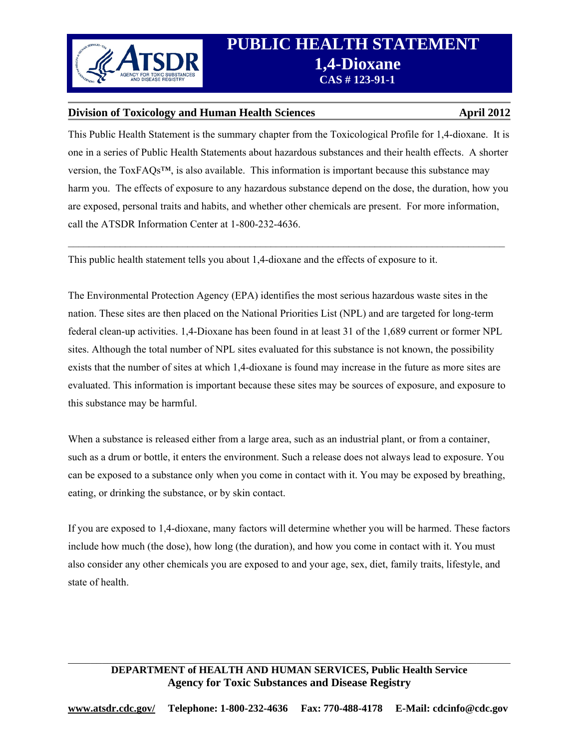

# **Division of Toxicology and Human Health Sciences April 2012 April 2012**

This Public Health Statement is the summary chapter from the Toxicological Profile for 1,4-dioxane. It is one in a series of Public Health Statements about hazardous substances and their health effects. A shorter version, the ToxFAQs™, is also available. This information is important because this substance may harm you. The effects of exposure to any hazardous substance depend on the dose, the duration, how you are exposed, personal traits and habits, and whether other chemicals are present. For more information, call the ATSDR Information Center at 1-800-232-4636.

 $\_$ 

This public health statement tells you about 1,4-dioxane and the effects of exposure to it.

The Environmental Protection Agency (EPA) identifies the most serious hazardous waste sites in the nation. These sites are then placed on the National Priorities List (NPL) and are targeted for long-term federal clean-up activities. 1,4-Dioxane has been found in at least 31 of the 1,689 current or former NPL sites. Although the total number of NPL sites evaluated for this substance is not known, the possibility exists that the number of sites at which 1,4-dioxane is found may increase in the future as more sites are evaluated. This information is important because these sites may be sources of exposure, and exposure to this substance may be harmful.

When a substance is released either from a large area, such as an industrial plant, or from a container, such as a drum or bottle, it enters the environment. Such a release does not always lead to exposure. You can be exposed to a substance only when you come in contact with it. You may be exposed by breathing, eating, or drinking the substance, or by skin contact.

If you are exposed to 1,4-dioxane, many factors will determine whether you will be harmed. These factors include how much (the dose), how long (the duration), and how you come in contact with it. You must also consider any other chemicals you are exposed to and your age, sex, diet, family traits, lifestyle, and state of health.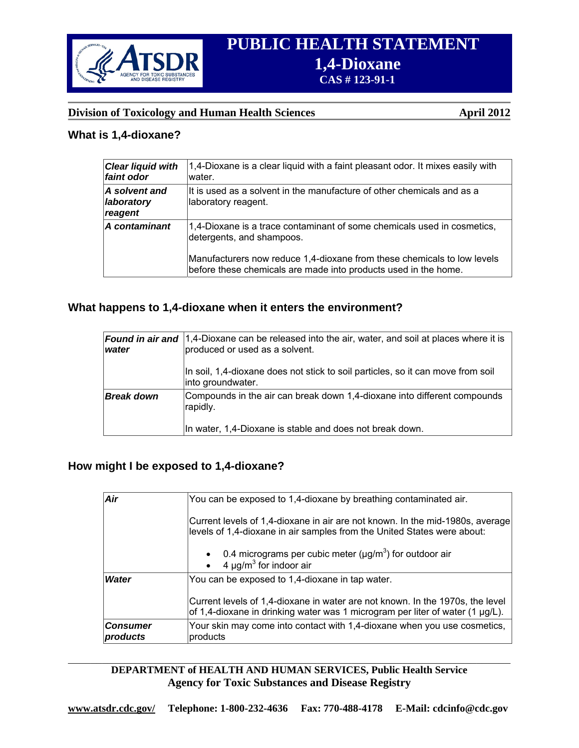

# **Division of Toxicology and Human Health Sciences** April 2012

### **What is 1,4-dioxane?**

| <b>Clear liquid with</b><br>faint odor | $ 1,4$ -Dioxane is a clear liquid with a faint pleasant odor. It mixes easily with<br>water.                                                                                                                                                       |
|----------------------------------------|----------------------------------------------------------------------------------------------------------------------------------------------------------------------------------------------------------------------------------------------------|
| A solvent and<br>laboratory<br>reagent | $\mathop{\mathsf{I}\mathsf{It}}$ is used as a solvent in the manufacture of other chemicals and as a<br>laboratory reagent.                                                                                                                        |
| A contaminant                          | 1,4-Dioxane is a trace contaminant of some chemicals used in cosmetics,<br>detergents, and shampoos.<br>Manufacturers now reduce 1,4-dioxane from these chemicals to low levels<br>before these chemicals are made into products used in the home. |

# **What happens to 1,4-dioxane when it enters the environment?**

| water             | <b>Found in air and</b>  1,4-Dioxane can be released into the air, water, and soil at places where it is<br>produced or used as a solvent. |
|-------------------|--------------------------------------------------------------------------------------------------------------------------------------------|
|                   | In soil, 1,4-dioxane does not stick to soil particles, so it can move from soil<br>into groundwater.                                       |
| <b>Break down</b> | Compounds in the air can break down 1,4-dioxane into different compounds<br>rapidly.                                                       |
|                   | In water, 1,4-Dioxane is stable and does not break down.                                                                                   |

## **How might I be exposed to 1,4-dioxane?**

| Air                         | You can be exposed to 1,4-dioxane by breathing contaminated air.                                                                                                    |
|-----------------------------|---------------------------------------------------------------------------------------------------------------------------------------------------------------------|
|                             | Current levels of 1,4-dioxane in air are not known. In the mid-1980s, average<br>levels of 1,4-dioxane in air samples from the United States were about:            |
|                             | • 0.4 micrograms per cubic meter ( $\mu$ g/m <sup>3</sup> ) for outdoor air<br>4 $\mu$ g/m <sup>3</sup> for indoor air                                              |
| <b>Water</b>                | You can be exposed to 1,4-dioxane in tap water.                                                                                                                     |
|                             | Current levels of 1,4-dioxane in water are not known. In the 1970s, the level<br>of 1,4-dioxane in drinking water was 1 microgram per liter of water (1 $\mu$ g/L). |
| <b>Consumer</b><br>products | Your skin may come into contact with 1,4-dioxane when you use cosmetics,<br>products                                                                                |

### $\_$  , and the contribution of the contribution of the contribution of the contribution of  $\mathcal{L}_\text{max}$ **DEPARTMENT of HEALTH AND HUMAN SERVICES, Public Health Service Agency for Toxic Substances and Disease Registry**

 **www.atsdr.cdc.gov/ Telephone: 1-800-232-4636 Fax: 770-488-4178 E-Mail: cdcinfo@cdc.gov**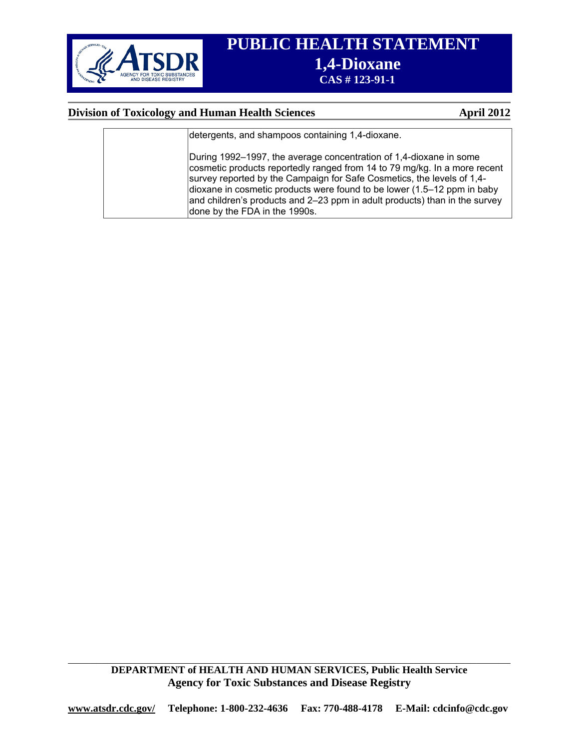

# **Division of Toxicology and Human Health Sciences** April 2012

| detergents, and shampoos containing 1,4-dioxane.                                                                                                                                                                                                                                                                                                                                                                    |
|---------------------------------------------------------------------------------------------------------------------------------------------------------------------------------------------------------------------------------------------------------------------------------------------------------------------------------------------------------------------------------------------------------------------|
| During 1992–1997, the average concentration of 1,4-dioxane in some<br>cosmetic products reportedly ranged from 14 to 79 mg/kg. In a more recent<br>survey reported by the Campaign for Safe Cosmetics, the levels of 1,4-<br>dioxane in cosmetic products were found to be lower (1.5–12 ppm in baby<br>and children's products and 2–23 ppm in adult products) than in the survey<br>done by the FDA in the 1990s. |

**DEPARTMENT of HEALTH AND HUMAN SERVICES, Public Health Service Agency for Toxic Substances and Disease Registry** 

 $\_$  , and the contribution of the contribution of the contribution of the contribution of  $\mathcal{L}_\text{max}$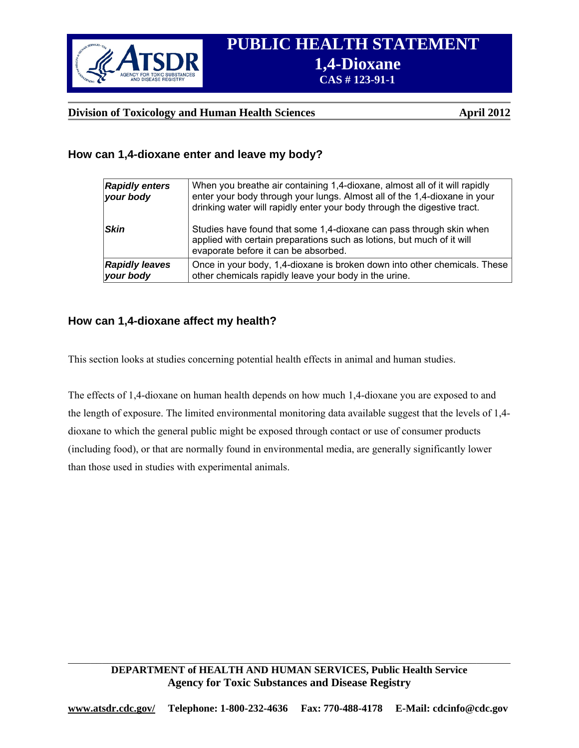

# **Division of Toxicology and Human Health Sciences** April 2012

# **How can 1,4-dioxane enter and leave my body?**

| <b>Rapidly enters</b><br>your body | When you breathe air containing 1,4-dioxane, almost all of it will rapidly<br>enter your body through your lungs. Almost all of the 1,4-dioxane in your<br>drinking water will rapidly enter your body through the digestive tract. |
|------------------------------------|-------------------------------------------------------------------------------------------------------------------------------------------------------------------------------------------------------------------------------------|
| <b>Skin</b>                        | Studies have found that some 1,4-dioxane can pass through skin when<br>applied with certain preparations such as lotions, but much of it will<br>evaporate before it can be absorbed.                                               |
| <b>Rapidly leaves</b><br>your body | Once in your body, 1,4-dioxane is broken down into other chemicals. These<br>other chemicals rapidly leave your body in the urine.                                                                                                  |

# **How can 1,4-dioxane affect my health?**

This section looks at studies concerning potential health effects in animal and human studies.

The effects of 1,4-dioxane on human health depends on how much 1,4-dioxane you are exposed to and the length of exposure. The limited environmental monitoring data available suggest that the levels of 1,4 dioxane to which the general public might be exposed through contact or use of consumer products (including food), or that are normally found in environmental media, are generally significantly lower than those used in studies with experimental animals.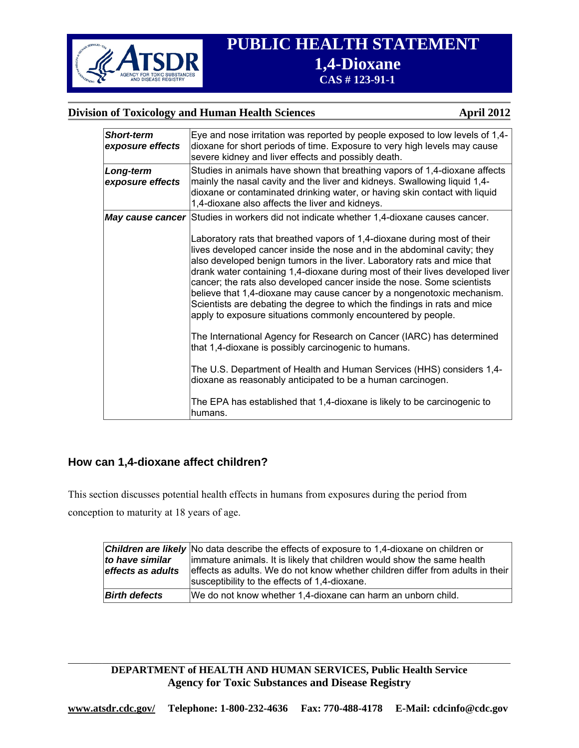

# **Division of Toxicology and Human Health Sciences** April 2012

| <b>Short-term</b><br>exposure effects | Eye and nose irritation was reported by people exposed to low levels of 1,4-<br>dioxane for short periods of time. Exposure to very high levels may cause<br>severe kidney and liver effects and possibly death.                                                                                                                                                                                                                                                                                                                                                                                                                                                                                                                                                                                                                                                                                                                                                                                                                                                               |
|---------------------------------------|--------------------------------------------------------------------------------------------------------------------------------------------------------------------------------------------------------------------------------------------------------------------------------------------------------------------------------------------------------------------------------------------------------------------------------------------------------------------------------------------------------------------------------------------------------------------------------------------------------------------------------------------------------------------------------------------------------------------------------------------------------------------------------------------------------------------------------------------------------------------------------------------------------------------------------------------------------------------------------------------------------------------------------------------------------------------------------|
| Long-term<br>exposure effects         | Studies in animals have shown that breathing vapors of 1,4-dioxane affects<br>mainly the nasal cavity and the liver and kidneys. Swallowing liquid 1,4-<br>dioxane or contaminated drinking water, or having skin contact with liquid<br>1,4-dioxane also affects the liver and kidneys.                                                                                                                                                                                                                                                                                                                                                                                                                                                                                                                                                                                                                                                                                                                                                                                       |
|                                       | May cause cancer Studies in workers did not indicate whether 1,4-dioxane causes cancer.<br>Laboratory rats that breathed vapors of 1,4-dioxane during most of their<br>lives developed cancer inside the nose and in the abdominal cavity; they<br>also developed benign tumors in the liver. Laboratory rats and mice that<br>drank water containing 1,4-dioxane during most of their lives developed liver<br>cancer; the rats also developed cancer inside the nose. Some scientists<br>believe that 1,4-dioxane may cause cancer by a nongenotoxic mechanism.<br>Scientists are debating the degree to which the findings in rats and mice<br>apply to exposure situations commonly encountered by people.<br>The International Agency for Research on Cancer (IARC) has determined<br>that 1,4-dioxane is possibly carcinogenic to humans.<br>The U.S. Department of Health and Human Services (HHS) considers 1,4-<br>dioxane as reasonably anticipated to be a human carcinogen.<br>The EPA has established that 1,4-dioxane is likely to be carcinogenic to<br>humans. |

# **How can 1,4-dioxane affect children?**

This section discusses potential health effects in humans from exposures during the period from conception to maturity at 18 years of age.

| to have similar<br>effects as adults | <b>Children are likely</b> No data describe the effects of exposure to 1,4-dioxane on children or<br>immature animals. It is likely that children would show the same health<br>effects as adults. We do not know whether children differ from adults in their<br>susceptibility to the effects of 1,4-dioxane. |
|--------------------------------------|-----------------------------------------------------------------------------------------------------------------------------------------------------------------------------------------------------------------------------------------------------------------------------------------------------------------|
| <b>Birth defects</b>                 | We do not know whether 1,4-dioxane can harm an unborn child.                                                                                                                                                                                                                                                    |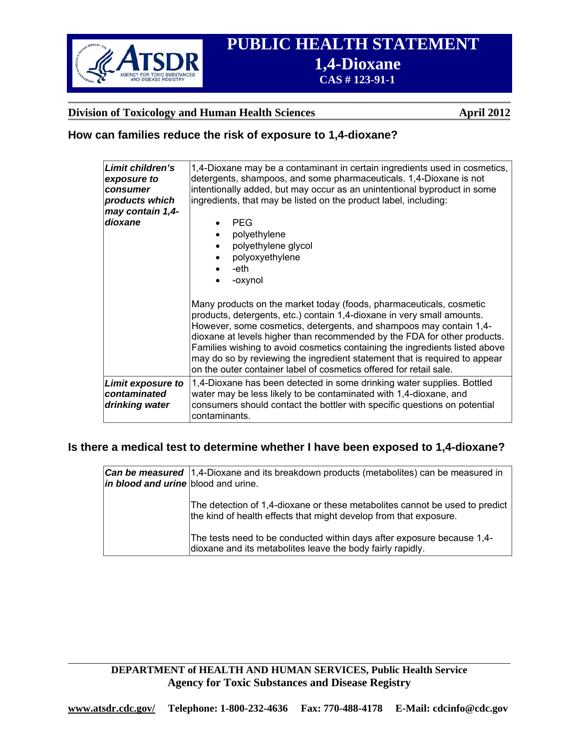

# **Division of Toxicology and Human Health Sciences April 2012**

# **How can families reduce the risk of exposure to 1,4-dioxane?**

| Limit children's<br>exposure to<br>consumer<br>products which<br>may contain 1,4- | 1,4-Dioxane may be a contaminant in certain ingredients used in cosmetics,<br>detergents, shampoos, and some pharmaceuticals. 1,4-Dioxane is not<br>intentionally added, but may occur as an unintentional byproduct in some<br>ingredients, that may be listed on the product label, including:                                                                                                                                                                                                                                   |
|-----------------------------------------------------------------------------------|------------------------------------------------------------------------------------------------------------------------------------------------------------------------------------------------------------------------------------------------------------------------------------------------------------------------------------------------------------------------------------------------------------------------------------------------------------------------------------------------------------------------------------|
| dioxane                                                                           | <b>PEG</b><br>polyethylene<br>polyethylene glycol<br>polyoxyethylene<br>-eth<br>-oxynol                                                                                                                                                                                                                                                                                                                                                                                                                                            |
|                                                                                   | Many products on the market today (foods, pharmaceuticals, cosmetic<br>products, detergents, etc.) contain 1,4-dioxane in very small amounts.<br>However, some cosmetics, detergents, and shampoos may contain 1,4-<br>dioxane at levels higher than recommended by the FDA for other products.<br>Families wishing to avoid cosmetics containing the ingredients listed above<br>may do so by reviewing the ingredient statement that is required to appear<br>on the outer container label of cosmetics offered for retail sale. |
| Limit exposure to<br>contaminated<br>drinking water                               | 1,4-Dioxane has been detected in some drinking water supplies. Bottled<br>water may be less likely to be contaminated with 1,4-dioxane, and<br>consumers should contact the bottler with specific questions on potential<br>contaminants.                                                                                                                                                                                                                                                                                          |

# **Is there a medical test to determine whether I have been exposed to 1,4-dioxane?**

| in blood and urine blood and urine. | <b>Can be measured</b> 1,4-Dioxane and its breakdown products (metabolites) can be measured in                                                   |
|-------------------------------------|--------------------------------------------------------------------------------------------------------------------------------------------------|
|                                     | The detection of 1,4-dioxane or these metabolites cannot be used to predict<br>the kind of health effects that might develop from that exposure. |
|                                     | The tests need to be conducted within days after exposure because 1,4-<br>dioxane and its metabolites leave the body fairly rapidly.             |

# **DEPARTMENT of HEALTH AND HUMAN SERVICES, Public Health Service Agency for Toxic Substances and Disease Registry**

 $\_$  , and the contribution of the contribution of the contribution of the contribution of  $\mathcal{L}_\text{max}$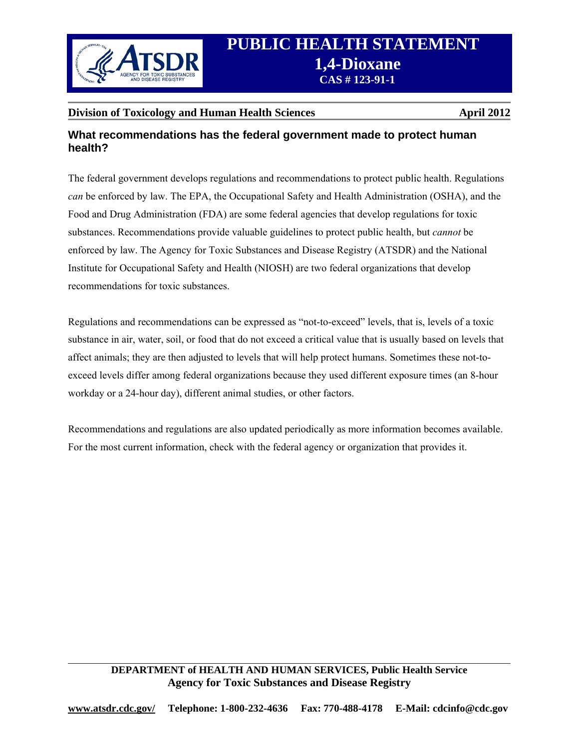

# **Division of Toxicology and Human Health Sciences April 2012 April 2012**

# **What recommendations has the federal government made to protect human health?**

The federal government develops regulations and recommendations to protect public health. Regulations *can* be enforced by law. The EPA, the Occupational Safety and Health Administration (OSHA), and the Food and Drug Administration (FDA) are some federal agencies that develop regulations for toxic substances. Recommendations provide valuable guidelines to protect public health, but *cannot* be enforced by law. The Agency for Toxic Substances and Disease Registry (ATSDR) and the National Institute for Occupational Safety and Health (NIOSH) are two federal organizations that develop recommendations for toxic substances.

Regulations and recommendations can be expressed as "not-to-exceed" levels, that is, levels of a toxic substance in air, water, soil, or food that do not exceed a critical value that is usually based on levels that affect animals; they are then adjusted to levels that will help protect humans. Sometimes these not-toexceed levels differ among federal organizations because they used different exposure times (an 8-hour workday or a 24-hour day), different animal studies, or other factors.

Recommendations and regulations are also updated periodically as more information becomes available. For the most current information, check with the federal agency or organization that provides it.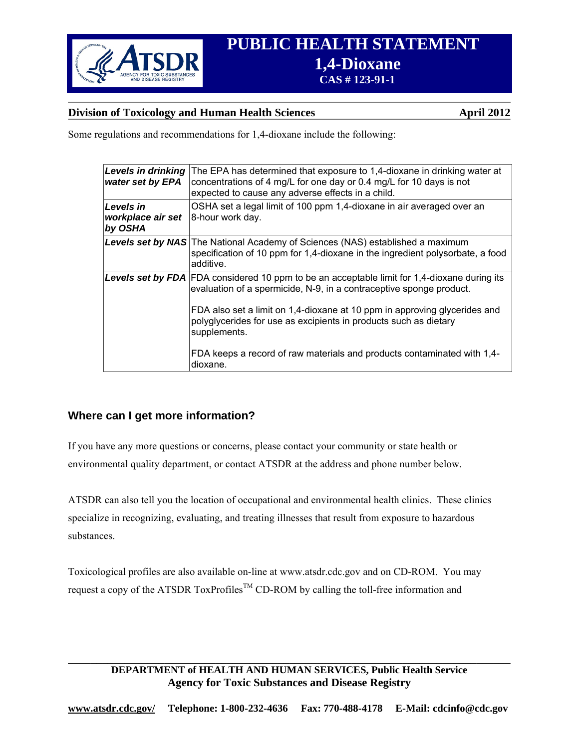

# **Division of Toxicology and Human Health Sciences** April 2012

Some regulations and recommendations for 1,4-dioxane include the following:

| <b>Levels in drinking</b><br>water set by EPA    | The EPA has determined that exposure to 1,4-dioxane in drinking water at<br>concentrations of 4 mg/L for one day or 0.4 mg/L for 10 days is not<br>expected to cause any adverse effects in a child.                                                                                                                                                                                                                               |
|--------------------------------------------------|------------------------------------------------------------------------------------------------------------------------------------------------------------------------------------------------------------------------------------------------------------------------------------------------------------------------------------------------------------------------------------------------------------------------------------|
| <b>Levels</b> in<br>workplace air set<br>by OSHA | OSHA set a legal limit of 100 ppm 1,4-dioxane in air averaged over an<br>8-hour work day.                                                                                                                                                                                                                                                                                                                                          |
|                                                  | <b>Levels set by NAS</b> The National Academy of Sciences (NAS) established a maximum<br>specification of 10 ppm for 1,4-dioxane in the ingredient polysorbate, a food<br>additive.                                                                                                                                                                                                                                                |
|                                                  | <b>Levels set by FDA</b> FDA considered 10 ppm to be an acceptable limit for 1,4-dioxane during its<br>evaluation of a spermicide, N-9, in a contraceptive sponge product.<br>FDA also set a limit on 1,4-dioxane at 10 ppm in approving glycerides and<br>polyglycerides for use as excipients in products such as dietary<br>supplements.<br>FDA keeps a record of raw materials and products contaminated with 1,4-<br>dioxane. |

# **Where can I get more information?**

If you have any more questions or concerns, please contact your community or state health or environmental quality department, or contact ATSDR at the address and phone number below.

ATSDR can also tell you the location of occupational and environmental health clinics. These clinics specialize in recognizing, evaluating, and treating illnesses that result from exposure to hazardous substances.

Toxicological profiles are also available on-line at www.atsdr.cdc.gov and on CD-ROM. You may request a copy of the ATSDR ToxProfiles<sup>TM</sup> CD-ROM by calling the toll-free information and